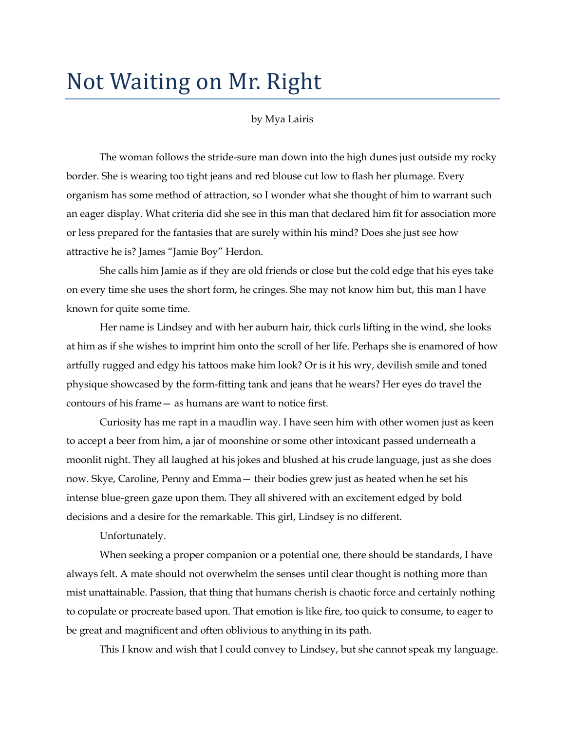## Not Waiting on Mr. Right

by Mya Lairis

The woman follows the stride-sure man down into the high dunes just outside my rocky border. She is wearing too tight jeans and red blouse cut low to flash her plumage. Every organism has some method of attraction, so I wonder what she thought of him to warrant such an eager display. What criteria did she see in this man that declared him fit for association more or less prepared for the fantasies that are surely within his mind? Does she just see how attractive he is? James "Jamie Boy" Herdon.

She calls him Jamie as if they are old friends or close but the cold edge that his eyes take on every time she uses the short form, he cringes. She may not know him but, this man I have known for quite some time.

Her name is Lindsey and with her auburn hair, thick curls lifting in the wind, she looks at him as if she wishes to imprint him onto the scroll of her life. Perhaps she is enamored of how artfully rugged and edgy his tattoos make him look? Or is it his wry, devilish smile and toned physique showcased by the form-fitting tank and jeans that he wears? Her eyes do travel the contours of his frame— as humans are want to notice first.

Curiosity has me rapt in a maudlin way. I have seen him with other women just as keen to accept a beer from him, a jar of moonshine or some other intoxicant passed underneath a moonlit night. They all laughed at his jokes and blushed at his crude language, just as she does now. Skye, Caroline, Penny and Emma— their bodies grew just as heated when he set his intense blue-green gaze upon them. They all shivered with an excitement edged by bold decisions and a desire for the remarkable. This girl, Lindsey is no different.

Unfortunately.

When seeking a proper companion or a potential one, there should be standards, I have always felt. A mate should not overwhelm the senses until clear thought is nothing more than mist unattainable. Passion, that thing that humans cherish is chaotic force and certainly nothing to copulate or procreate based upon. That emotion is like fire, too quick to consume, to eager to be great and magnificent and often oblivious to anything in its path.

This I know and wish that I could convey to Lindsey, but she cannot speak my language.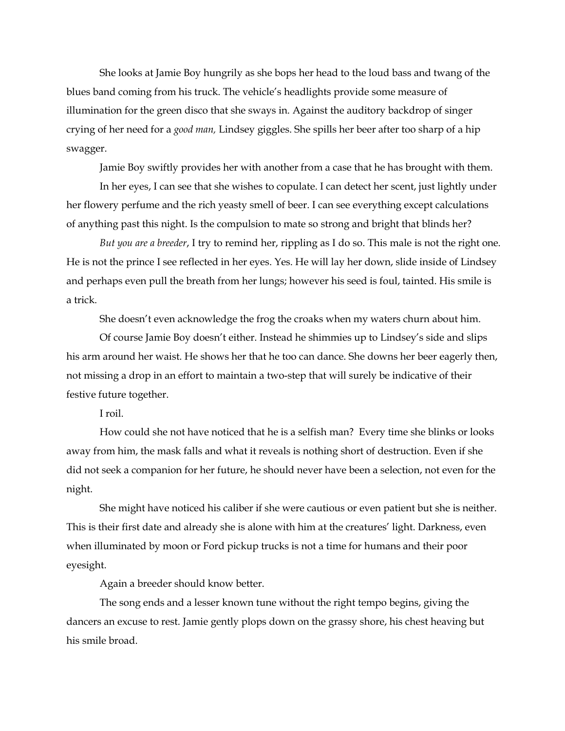She looks at Jamie Boy hungrily as she bops her head to the loud bass and twang of the blues band coming from his truck. The vehicle"s headlights provide some measure of illumination for the green disco that she sways in. Against the auditory backdrop of singer crying of her need for a *good man,* Lindsey giggles. She spills her beer after too sharp of a hip swagger.

Jamie Boy swiftly provides her with another from a case that he has brought with them.

In her eyes, I can see that she wishes to copulate. I can detect her scent, just lightly under her flowery perfume and the rich yeasty smell of beer. I can see everything except calculations of anything past this night. Is the compulsion to mate so strong and bright that blinds her?

*But you are a breeder*, I try to remind her, rippling as I do so. This male is not the right one. He is not the prince I see reflected in her eyes. Yes. He will lay her down, slide inside of Lindsey and perhaps even pull the breath from her lungs; however his seed is foul, tainted. His smile is a trick.

She doesn't even acknowledge the frog the croaks when my waters churn about him.

Of course Jamie Boy doesn"t either. Instead he shimmies up to Lindsey"s side and slips his arm around her waist. He shows her that he too can dance. She downs her beer eagerly then, not missing a drop in an effort to maintain a two-step that will surely be indicative of their festive future together.

I roil.

How could she not have noticed that he is a selfish man? Every time she blinks or looks away from him, the mask falls and what it reveals is nothing short of destruction. Even if she did not seek a companion for her future, he should never have been a selection, not even for the night.

She might have noticed his caliber if she were cautious or even patient but she is neither. This is their first date and already she is alone with him at the creatures' light. Darkness, even when illuminated by moon or Ford pickup trucks is not a time for humans and their poor eyesight.

Again a breeder should know better.

The song ends and a lesser known tune without the right tempo begins, giving the dancers an excuse to rest. Jamie gently plops down on the grassy shore, his chest heaving but his smile broad.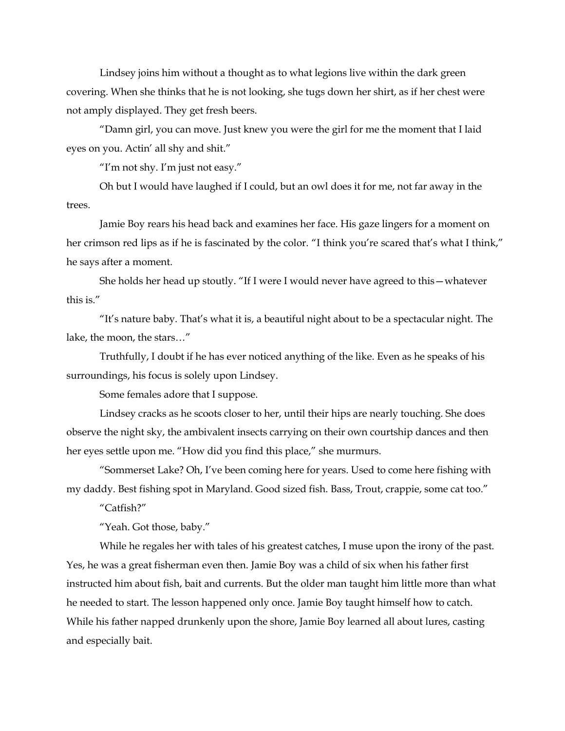Lindsey joins him without a thought as to what legions live within the dark green covering. When she thinks that he is not looking, she tugs down her shirt, as if her chest were not amply displayed. They get fresh beers.

"Damn girl, you can move. Just knew you were the girl for me the moment that I laid eyes on you. Actin' all shy and shit."

"I"m not shy. I"m just not easy."

Oh but I would have laughed if I could, but an owl does it for me, not far away in the trees.

Jamie Boy rears his head back and examines her face. His gaze lingers for a moment on her crimson red lips as if he is fascinated by the color. "I think you're scared that's what I think," he says after a moment.

She holds her head up stoutly. "If I were I would never have agreed to this—whatever this is."

"It"s nature baby. That"s what it is, a beautiful night about to be a spectacular night. The lake, the moon, the stars…"

Truthfully, I doubt if he has ever noticed anything of the like. Even as he speaks of his surroundings, his focus is solely upon Lindsey.

Some females adore that I suppose.

Lindsey cracks as he scoots closer to her, until their hips are nearly touching. She does observe the night sky, the ambivalent insects carrying on their own courtship dances and then her eyes settle upon me. "How did you find this place," she murmurs.

"Sommerset Lake? Oh, I"ve been coming here for years. Used to come here fishing with my daddy. Best fishing spot in Maryland. Good sized fish. Bass, Trout, crappie, some cat too."

"Catfish?"

"Yeah. Got those, baby."

While he regales her with tales of his greatest catches, I muse upon the irony of the past. Yes, he was a great fisherman even then. Jamie Boy was a child of six when his father first instructed him about fish, bait and currents. But the older man taught him little more than what he needed to start. The lesson happened only once. Jamie Boy taught himself how to catch. While his father napped drunkenly upon the shore, Jamie Boy learned all about lures, casting and especially bait.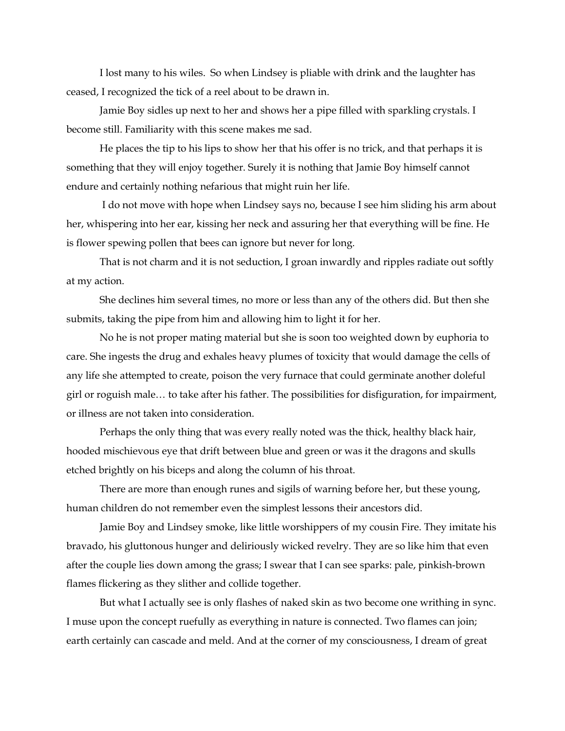I lost many to his wiles. So when Lindsey is pliable with drink and the laughter has ceased, I recognized the tick of a reel about to be drawn in.

Jamie Boy sidles up next to her and shows her a pipe filled with sparkling crystals. I become still. Familiarity with this scene makes me sad.

He places the tip to his lips to show her that his offer is no trick, and that perhaps it is something that they will enjoy together. Surely it is nothing that Jamie Boy himself cannot endure and certainly nothing nefarious that might ruin her life.

I do not move with hope when Lindsey says no, because I see him sliding his arm about her, whispering into her ear, kissing her neck and assuring her that everything will be fine. He is flower spewing pollen that bees can ignore but never for long.

That is not charm and it is not seduction, I groan inwardly and ripples radiate out softly at my action.

She declines him several times, no more or less than any of the others did. But then she submits, taking the pipe from him and allowing him to light it for her.

No he is not proper mating material but she is soon too weighted down by euphoria to care. She ingests the drug and exhales heavy plumes of toxicity that would damage the cells of any life she attempted to create, poison the very furnace that could germinate another doleful girl or roguish male… to take after his father. The possibilities for disfiguration, for impairment, or illness are not taken into consideration.

Perhaps the only thing that was every really noted was the thick, healthy black hair, hooded mischievous eye that drift between blue and green or was it the dragons and skulls etched brightly on his biceps and along the column of his throat.

There are more than enough runes and sigils of warning before her, but these young, human children do not remember even the simplest lessons their ancestors did.

Jamie Boy and Lindsey smoke, like little worshippers of my cousin Fire. They imitate his bravado, his gluttonous hunger and deliriously wicked revelry. They are so like him that even after the couple lies down among the grass; I swear that I can see sparks: pale, pinkish-brown flames flickering as they slither and collide together.

But what I actually see is only flashes of naked skin as two become one writhing in sync. I muse upon the concept ruefully as everything in nature is connected. Two flames can join; earth certainly can cascade and meld. And at the corner of my consciousness, I dream of great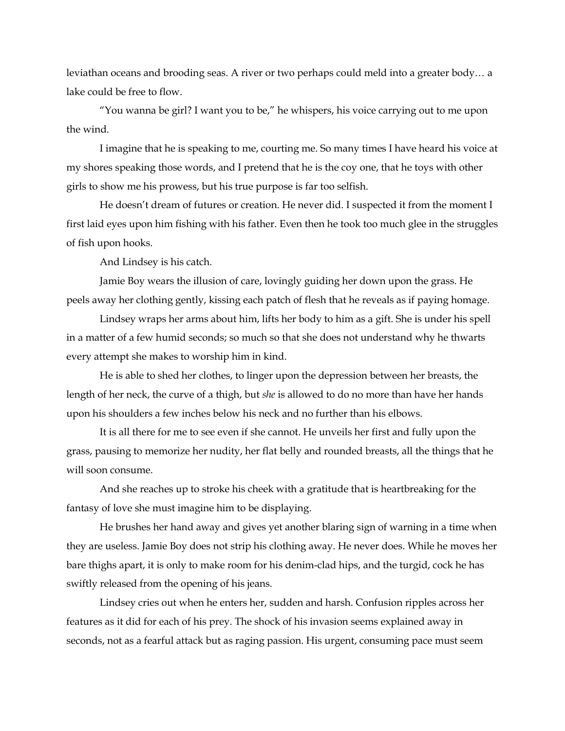leviathan oceans and brooding seas. A river or two perhaps could meld into a greater body… a lake could be free to flow.

"You wanna be girl? I want you to be," he whispers, his voice carrying out to me upon the wind.

I imagine that he is speaking to me, courting me. So many times I have heard his voice at my shores speaking those words, and I pretend that he is the coy one, that he toys with other girls to show me his prowess, but his true purpose is far too selfish.

He doesn't dream of futures or creation. He never did. I suspected it from the moment I first laid eyes upon him fishing with his father. Even then he took too much glee in the struggles of fish upon hooks.

And Lindsey is his catch.

Jamie Boy wears the illusion of care, lovingly guiding her down upon the grass. He peels away her clothing gently, kissing each patch of flesh that he reveals as if paying homage.

Lindsey wraps her arms about him, lifts her body to him as a gift. She is under his spell in a matter of a few humid seconds; so much so that she does not understand why he thwarts every attempt she makes to worship him in kind.

He is able to shed her clothes, to linger upon the depression between her breasts, the length of her neck, the curve of a thigh, but *she* is allowed to do no more than have her hands upon his shoulders a few inches below his neck and no further than his elbows.

It is all there for me to see even if she cannot. He unveils her first and fully upon the grass, pausing to memorize her nudity, her flat belly and rounded breasts, all the things that he will soon consume.

And she reaches up to stroke his cheek with a gratitude that is heartbreaking for the fantasy of love she must imagine him to be displaying.

He brushes her hand away and gives yet another blaring sign of warning in a time when they are useless. Jamie Boy does not strip his clothing away. He never does. While he moves her bare thighs apart, it is only to make room for his denim-clad hips, and the turgid, cock he has swiftly released from the opening of his jeans.

Lindsey cries out when he enters her, sudden and harsh. Confusion ripples across her features as it did for each of his prey. The shock of his invasion seems explained away in seconds, not as a fearful attack but as raging passion. His urgent, consuming pace must seem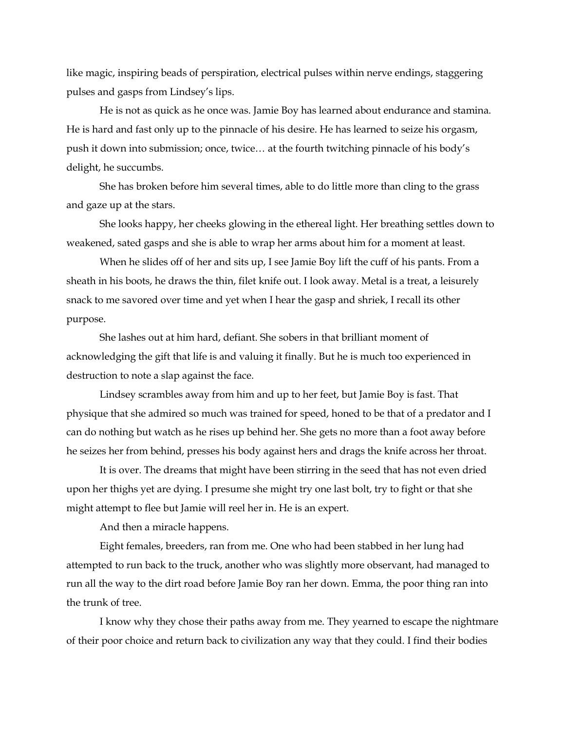like magic, inspiring beads of perspiration, electrical pulses within nerve endings, staggering pulses and gasps from Lindsey"s lips.

He is not as quick as he once was. Jamie Boy has learned about endurance and stamina. He is hard and fast only up to the pinnacle of his desire. He has learned to seize his orgasm, push it down into submission; once, twice… at the fourth twitching pinnacle of his body"s delight, he succumbs.

She has broken before him several times, able to do little more than cling to the grass and gaze up at the stars.

She looks happy, her cheeks glowing in the ethereal light. Her breathing settles down to weakened, sated gasps and she is able to wrap her arms about him for a moment at least.

When he slides off of her and sits up, I see Jamie Boy lift the cuff of his pants. From a sheath in his boots, he draws the thin, filet knife out. I look away. Metal is a treat, a leisurely snack to me savored over time and yet when I hear the gasp and shriek, I recall its other purpose.

She lashes out at him hard, defiant. She sobers in that brilliant moment of acknowledging the gift that life is and valuing it finally. But he is much too experienced in destruction to note a slap against the face.

Lindsey scrambles away from him and up to her feet, but Jamie Boy is fast. That physique that she admired so much was trained for speed, honed to be that of a predator and I can do nothing but watch as he rises up behind her. She gets no more than a foot away before he seizes her from behind, presses his body against hers and drags the knife across her throat.

It is over. The dreams that might have been stirring in the seed that has not even dried upon her thighs yet are dying. I presume she might try one last bolt, try to fight or that she might attempt to flee but Jamie will reel her in. He is an expert.

And then a miracle happens.

Eight females, breeders, ran from me. One who had been stabbed in her lung had attempted to run back to the truck, another who was slightly more observant, had managed to run all the way to the dirt road before Jamie Boy ran her down. Emma, the poor thing ran into the trunk of tree.

I know why they chose their paths away from me. They yearned to escape the nightmare of their poor choice and return back to civilization any way that they could. I find their bodies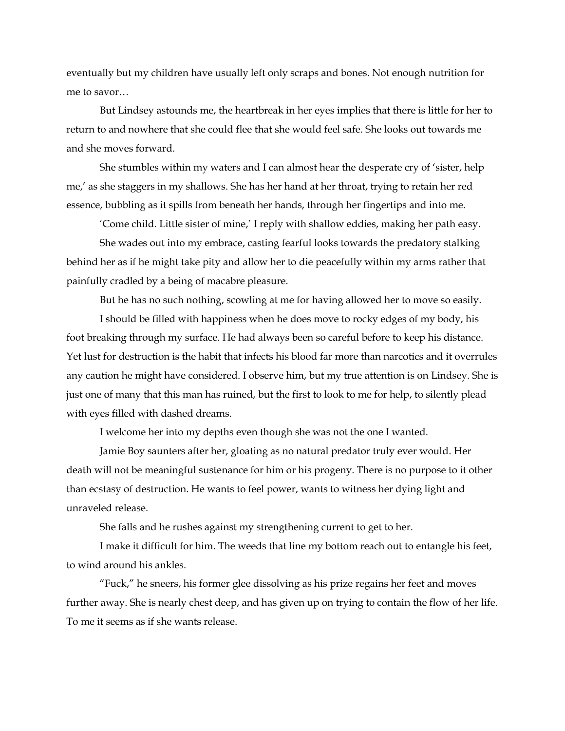eventually but my children have usually left only scraps and bones. Not enough nutrition for me to savor…

But Lindsey astounds me, the heartbreak in her eyes implies that there is little for her to return to and nowhere that she could flee that she would feel safe. She looks out towards me and she moves forward.

She stumbles within my waters and I can almost hear the desperate cry of "sister, help me,' as she staggers in my shallows. She has her hand at her throat, trying to retain her red essence, bubbling as it spills from beneath her hands, through her fingertips and into me.

'Come child. Little sister of mine,' I reply with shallow eddies, making her path easy.

She wades out into my embrace, casting fearful looks towards the predatory stalking behind her as if he might take pity and allow her to die peacefully within my arms rather that painfully cradled by a being of macabre pleasure.

But he has no such nothing, scowling at me for having allowed her to move so easily.

I should be filled with happiness when he does move to rocky edges of my body, his foot breaking through my surface. He had always been so careful before to keep his distance. Yet lust for destruction is the habit that infects his blood far more than narcotics and it overrules any caution he might have considered. I observe him, but my true attention is on Lindsey. She is just one of many that this man has ruined, but the first to look to me for help, to silently plead with eyes filled with dashed dreams.

I welcome her into my depths even though she was not the one I wanted.

Jamie Boy saunters after her, gloating as no natural predator truly ever would. Her death will not be meaningful sustenance for him or his progeny. There is no purpose to it other than ecstasy of destruction. He wants to feel power, wants to witness her dying light and unraveled release.

She falls and he rushes against my strengthening current to get to her.

I make it difficult for him. The weeds that line my bottom reach out to entangle his feet, to wind around his ankles.

"Fuck," he sneers, his former glee dissolving as his prize regains her feet and moves further away. She is nearly chest deep, and has given up on trying to contain the flow of her life. To me it seems as if she wants release.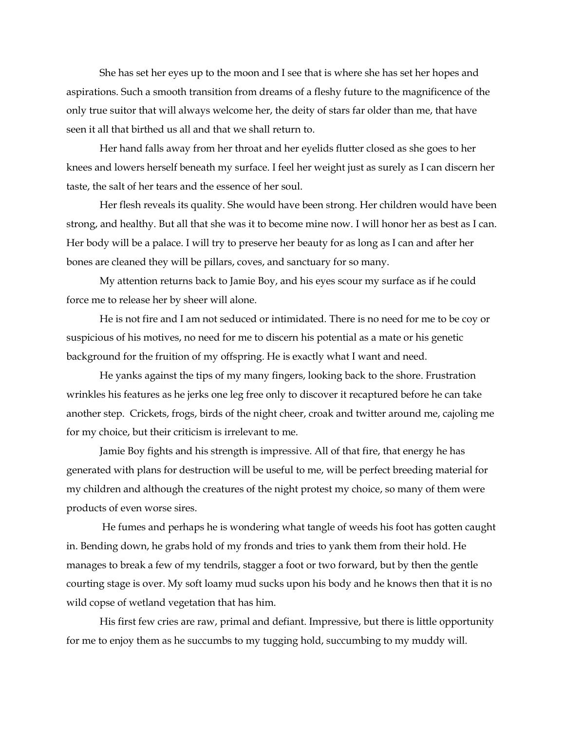She has set her eyes up to the moon and I see that is where she has set her hopes and aspirations. Such a smooth transition from dreams of a fleshy future to the magnificence of the only true suitor that will always welcome her, the deity of stars far older than me, that have seen it all that birthed us all and that we shall return to.

Her hand falls away from her throat and her eyelids flutter closed as she goes to her knees and lowers herself beneath my surface. I feel her weight just as surely as I can discern her taste, the salt of her tears and the essence of her soul.

Her flesh reveals its quality. She would have been strong. Her children would have been strong, and healthy. But all that she was it to become mine now. I will honor her as best as I can. Her body will be a palace. I will try to preserve her beauty for as long as I can and after her bones are cleaned they will be pillars, coves, and sanctuary for so many.

My attention returns back to Jamie Boy, and his eyes scour my surface as if he could force me to release her by sheer will alone.

He is not fire and I am not seduced or intimidated. There is no need for me to be coy or suspicious of his motives, no need for me to discern his potential as a mate or his genetic background for the fruition of my offspring. He is exactly what I want and need.

He yanks against the tips of my many fingers, looking back to the shore. Frustration wrinkles his features as he jerks one leg free only to discover it recaptured before he can take another step. Crickets, frogs, birds of the night cheer, croak and twitter around me, cajoling me for my choice, but their criticism is irrelevant to me.

Jamie Boy fights and his strength is impressive. All of that fire, that energy he has generated with plans for destruction will be useful to me, will be perfect breeding material for my children and although the creatures of the night protest my choice, so many of them were products of even worse sires.

He fumes and perhaps he is wondering what tangle of weeds his foot has gotten caught in. Bending down, he grabs hold of my fronds and tries to yank them from their hold. He manages to break a few of my tendrils, stagger a foot or two forward, but by then the gentle courting stage is over. My soft loamy mud sucks upon his body and he knows then that it is no wild copse of wetland vegetation that has him.

His first few cries are raw, primal and defiant. Impressive, but there is little opportunity for me to enjoy them as he succumbs to my tugging hold, succumbing to my muddy will.